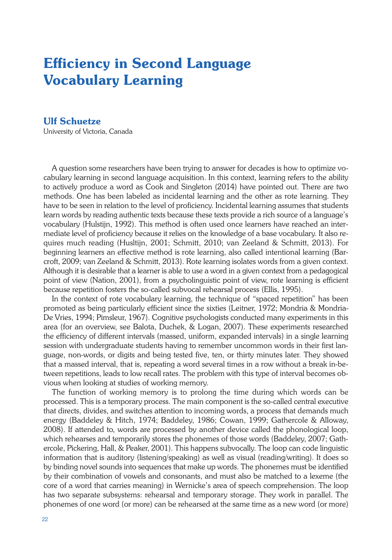# Efficiency in Second Language Vocabulary Learning

## Ulf Schuetze

University of Victoria, Canada

A question some researchers have been trying to answer for decades is how to optimize vocabulary learning in second language acquisition. In this context, learning refers to the ability to actively produce a word as Cook and Singleton (2014) have pointed out. There are two methods. One has been labeled as incidental learning and the other as rote learning. They have to be seen in relation to the level of proficiency. Incidental learning assumes that students learn words by reading authentic texts because these texts provide a rich source of a language's vocabulary (Hulstijn, 1992). This method is often used once learners have reached an intermediate level of proficiency because it relies on the knowledge of a base vocabulary. It also requires much reading (Husltijn, 2001; Schmitt, 2010; van zeeland & Schmitt, 2013). For beginning learners an effective method is rote learning, also called intentional learning (Barcroft, 2009; van zeeland & Schmitt, 2013). Rote learning isolates words from a given context. Although it is desirable that a learner is able to use a word in a given context from a pedagogical point of view (Nation, 2001), from a psycholinguistic point of view, rote learning is efficient because repetition fosters the so-called subvocal rehearsal process (Ellis, 1995).

In the context of rote vocabulary learning, the technique of "spaced repetition" has been promoted as being particularly efficient since the sixties (Leitner, 1972; Mondria & Mondria-De Vries, 1994; Pimsleur, 1967). Cognitive psychologists conducted many experiments in this area (for an overview, see Balota, Duchek, & Logan, 2007). These experiments researched the efficiency of different intervals (massed, uniform, expanded intervals) in a single learning session with undergraduate students having to remember uncommon words in their first language, non-words, or digits and being tested five, ten, or thirty minutes later. They showed that a massed interval, that is, repeating a word several times in a row without a break in-between repetitions, leads to low recall rates. The problem with this type of interval becomes obvious when looking at studies of working memory.

The function of working memory is to prolong the time during which words can be processed. This is a temporary process. The main component is the so-called central executive that directs, divides, and switches attention to incoming words, a process that demands much energy (Baddeley & Hitch, 1974; Baddeley, 1986; Cowan, 1999; Gathercole & Alloway, 2008). If attended to, words are processed by another device called the phonological loop, which rehearses and temporarily stores the phonemes of those words (Baddeley, 2007; Gathercole, Pickering, Hall, & Peaker, 2001). This happens subvocally. The loop can code linguistic information that is auditory (listening/speaking) as well as visual (reading/writing). It does so by binding novel sounds into sequences that make up words. The phonemes must be identified by their combination of vowels and consonants, and must also be matched to a lexeme (the core of a word that carries meaning) in Wernicke's area of speech comprehension. The loop has two separate subsystems: rehearsal and temporary storage. They work in parallel. The phonemes of one word (or more) can be rehearsed at the same time as a new word (or more)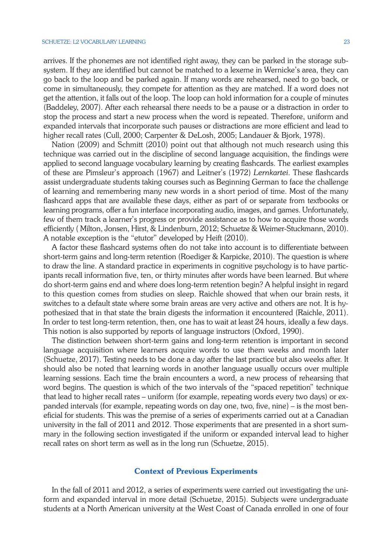arrives. If the phonemes are not identified right away, they can be parked in the storage subsystem. If they are identified but cannot be matched to a lexeme in Wernicke's area, they can go back to the loop and be parked again. If many words are rehearsed, need to go back, or come in simultaneously, they compete for attention as they are matched. If a word does not get the attention, it falls out of the loop. The loop can hold information for a couple of minutes (Baddeley, 2007). After each rehearsal there needs to be a pause or a distraction in order to stop the process and start a new process when the word is repeated. Therefore, uniform and expanded intervals that incorporate such pauses or distractions are more efficient and lead to higher recall rates (Cull, 2000; Carpenter & DeLosh, 2005; Landauer & Bjork, 1978).

Nation (2009) and Schmitt (2010) point out that although not much research using this technique was carried out in the discipline of second language acquisition, the findings were applied to second language vocabulary learning by creating flashcards. The earliest examples of these are Pimsleur's approach (1967) and Leitner's (1972) *Lernkartei*. These flashcards assist undergraduate students taking courses such as Beginning German to face the challenge of learning and remembering many new words in a short period of time. Most of the many flashcard apps that are available these days, either as part of or separate from textbooks or learning programs, offer a fun interface incorporating audio, images, and games. Unfortunately, few of them track a learner's progress or provide assistance as to how to acquire those words efficiently ( Milton, Jonsen, Hirst, & Lindenburn, 2012; Schuetze & Weimer-Stuckmann, 2010). A notable exception is the "etutor" developed by Heift (2010).

A factor these flashcard systems often do not take into account is to differentiate between short-term gains and long-term retention (Roediger & Karpicke, 2010). The question is where to draw the line. A standard practice in experiments in cognitive psychology is to have participants recall information five, ten, or thirty minutes after words have been learned. But where do short-term gains end and where does long-term retention begin? A helpful insight in regard to this question comes from studies on sleep. Raichle showed that when our brain rests, it switches to a default state where some brain areas are very active and others are not. It is hypothesized that in that state the brain digests the information it encountered (Raichle, 2011). In order to test long-term retention, then, one has to wait at least 24 hours, ideally a few days. This notion is also supported by reports of language instructors (Oxford, 1990).

The distinction between short-term gains and long-term retention is important in second language acquisition where learners acquire words to use them weeks and month later (Schuetze, 2017). Testing needs to be done a day after the last practice but also weeks after. It should also be noted that learning words in another language usually occurs over multiple learning sessions. Each time the brain encounters a word, a new process of rehearsing that word begins. The question is which of the two intervals of the "spaced repetition" technique that lead to higher recall rates – uniform (for example, repeating words every two days) or expanded intervals (for example, repeating words on day one, two, five, nine) – is the most beneficial for students. This was the premise of a series of experiments carried out at a Canadian university in the fall of 2011 and 2012. Those experiments that are presented in a short summary in the following section investigated if the uniform or expanded interval lead to higher recall rates on short term as well as in the long run (Schuetze, 2015).

#### Context of Previous Experiments

In the fall of 2011 and 2012, a series of experiments were carried out investigating the uniform and expanded interval in more detail (Schuetze, 2015). Subjects were undergraduate students at a North American university at the West Coast of Canada enrolled in one of four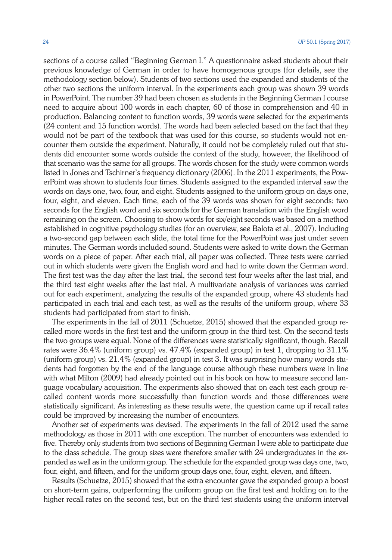sections of a course called "Beginning German I." A questionnaire asked students about their previous knowledge of German in order to have homogenous groups (for details, see the methodology section below). Students of two sections used the expanded and students of the other two sections the uniform interval. In the experiments each group was shown 39 words in PowerPoint. The number 39 had been chosen as students in the Beginning German I course need to acquire about 100 words in each chapter, 60 of those in comprehension and 40 in production. Balancing content to function words, 39 words were selected for the experiments (24 content and 15 function words). The words had been selected based on the fact that they would not be part of the textbook that was used for this course, so students would not encounter them outside the experiment. Naturally, it could not be completely ruled out that students did encounter some words outside the context of the study, however, the likelihood of that scenario was the same for all groups. The words chosen for the study were common words listed in Jones and Tschirner's frequency dictionary (2006). In the 2011 experiments, the PowerPoint was shown to students four times. Students assigned to the expanded interval saw the words on days one, two, four, and eight. Students assigned to the uniform group on days one, four, eight, and eleven. Each time, each of the 39 words was shown for eight seconds: two seconds for the English word and six seconds for the German translation with the English word remaining on the screen. Choosing to show words for six/eight seconds was based on a method established in cognitive psychology studies (for an overview, see Balota et al., 2007). Including a two-second gap between each slide, the total time for the PowerPoint was just under seven minutes. The German words included sound. Students were asked to write down the German words on a piece of paper. After each trial, all paper was collected. Three tests were carried out in which students were given the English word and had to write down the German word. The first test was the day after the last trial, the second test four weeks after the last trial, and the third test eight weeks after the last trial. A multivariate analysis of variances was carried out for each experiment, analyzing the results of the expanded group, where 43 students had participated in each trial and each test, as well as the results of the uniform group, where 33 students had participated from start to finish.

The experiments in the fall of 2011 (Schuetze, 2015) showed that the expanded group recalled more words in the first test and the uniform group in the third test. On the second tests the two groups were equal. None of the differences were statistically significant, though. Recall rates were 36.4% (uniform group) vs. 47.4% (expanded group) in test 1, dropping to 31.1% (uniform group) vs. 21.4% (expanded group) in test 3. It was surprising how many words students had forgotten by the end of the language course although these numbers were in line with what Milton (2009) had already pointed out in his book on how to measure second language vocabulary acquisition. The experiments also showed that on each test each group recalled content words more successfully than function words and those differences were statistically significant. As interesting as these results were, the question came up if recall rates could be improved by increasing the number of encounters.

Another set of experiments was devised. The experiments in the fall of 2012 used the same methodology as those in 2011 with one exception. The number of encounters was extended to five. Thereby only students from two sections of Beginning German I were able to participate due to the class schedule. The group sizes were therefore smaller with 24 undergraduates in the expanded as well as in the uniform group. The schedule for the expanded group was days one, two, four, eight, and fifteen, and for the uniform group days one, four, eight, eleven, and fifteen.

Results (Schuetze, 2015) showed that the extra encounter gave the expanded group a boost on short-term gains, outperforming the uniform group on the first test and holding on to the higher recall rates on the second test, but on the third test students using the uniform interval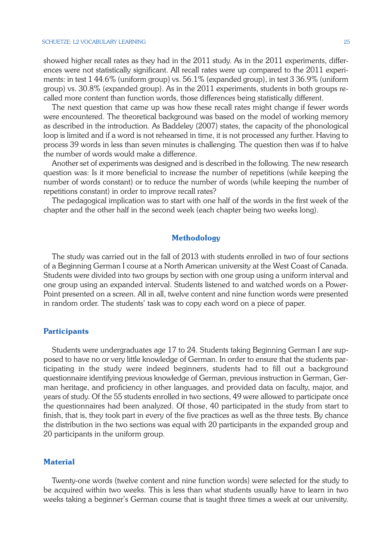#### SCHUETzE: L2 VOCABULARY LEARNING 25

showed higher recall rates as they had in the 2011 study. As in the 2011 experiments, differences were not statistically significant. All recall rates were up compared to the 2011 experiments: in test 1 44.6% (uniform group) vs. 56.1% (expanded group), in test 3 36.9% (uniform group) vs. 30.8% (expanded group). As in the 2011 experiments, students in both groups recalled more content than function words, those differences being statistically different.

The next question that came up was how these recall rates might change if fewer words were encountered. The theoretical background was based on the model of working memory as described in the introduction. As Baddeley (2007) states, the capacity of the phonological loop is limited and if a word is not rehearsed in time, it is not processed any further. Having to process 39 words in less than seven minutes is challenging. The question then was if to halve the number of words would make a difference.

Another set of experiments was designed and is described in the following. The new research question was: Is it more beneficial to increase the number of repetitions (while keeping the number of words constant) or to reduce the number of words (while keeping the number of repetitions constant) in order to improve recall rates?

The pedagogical implication was to start with one half of the words in the first week of the chapter and the other half in the second week (each chapter being two weeks long).

#### Methodology

The study was carried out in the fall of 2013 with students enrolled in two of four sections of a Beginning German I course at a North American university at the West Coast of Canada. Students were divided into two groups by section with one group using a uniform interval and one group using an expanded interval. Students listened to and watched words on a Power-Point presented on a screen. All in all, twelve content and nine function words were presented in random order. The students' task was to copy each word on a piece of paper.

#### **Participants**

Students were undergraduates age 17 to 24. Students taking Beginning German I are supposed to have no or very little knowledge of German. In order to ensure that the students participating in the study were indeed beginners, students had to fill out a background questionnaire identifying previous knowledge of German, previous instruction in German, German heritage, and proficiency in other languages, and provided data on faculty, major, and years of study. Of the 55 students enrolled in two sections, 49 were allowed to participate once the questionnaires had been analyzed. Of those, 40 participated in the study from start to finish, that is, they took part in every of the five practices as well as the three tests. By chance the distribution in the two sections was equal with 20 participants in the expanded group and 20 participants in the uniform group.

#### **Material**

Twenty-one words (twelve content and nine function words) were selected for the study to be acquired within two weeks. This is less than what students usually have to learn in two weeks taking a beginner's German course that is taught three times a week at our university.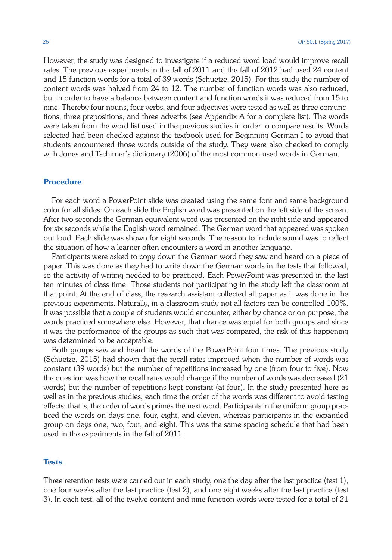However, the study was designed to investigate if a reduced word load would improve recall rates. The previous experiments in the fall of 2011 and the fall of 2012 had used 24 content and 15 function words for a total of 39 words (Schuetze, 2015). For this study the number of content words was halved from 24 to 12. The number of function words was also reduced, but in order to have a balance between content and function words it was reduced from 15 to nine. Thereby four nouns, four verbs, and four adjectives were tested as well as three conjunctions, three prepositions, and three adverbs (see Appendix A for a complete list). The words were taken from the word list used in the previous studies in order to compare results. Words selected had been checked against the textbook used for Beginning German I to avoid that students encountered those words outside of the study. They were also checked to comply with Jones and Tschirner's dictionary (2006) of the most common used words in German.

### Procedure

For each word a PowerPoint slide was created using the same font and same background color for all slides. On each slide the English word was presented on the left side of the screen. After two seconds the German equivalent word was presented on the right side and appeared for six seconds while the English word remained. The German word that appeared was spoken out loud. Each slide was shown for eight seconds. The reason to include sound was to reflect the situation of how a learner often encounters a word in another language.

Participants were asked to copy down the German word they saw and heard on a piece of paper. This was done as they had to write down the German words in the tests that followed, so the activity of writing needed to be practiced. Each PowerPoint was presented in the last ten minutes of class time. Those students not participating in the study left the classroom at that point. At the end of class, the research assistant collected all paper as it was done in the previous experiments. Naturally, in a classroom study not all factors can be controlled 100%. It was possible that a couple of students would encounter, either by chance or on purpose, the words practiced somewhere else. However, that chance was equal for both groups and since it was the performance of the groups as such that was compared, the risk of this happening was determined to be acceptable.

Both groups saw and heard the words of the PowerPoint four times. The previous study (Schuetze, 2015) had shown that the recall rates improved when the number of words was constant (39 words) but the number of repetitions increased by one (from four to five). Now the question was how the recall rates would change if the number of words was decreased (21 words) but the number of repetitions kept constant (at four). In the study presented here as well as in the previous studies, each time the order of the words was different to avoid testing effects; that is, the order of words primes the next word. Participants in the uniform group practiced the words on days one, four, eight, and eleven, whereas participants in the expanded group on days one, two, four, and eight. This was the same spacing schedule that had been used in the experiments in the fall of 2011.

#### **Tests**

Three retention tests were carried out in each study, one the day after the last practice (test 1), one four weeks after the last practice (test 2), and one eight weeks after the last practice (test 3). In each test, all of the twelve content and nine function words were tested for a total of 21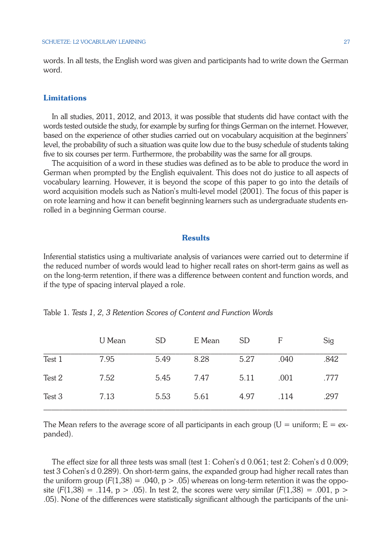words. In all tests, the English word was given and participants had to write down the German word.

### **Limitations**

In all studies, 2011, 2012, and 2013, it was possible that students did have contact with the words tested outside the study, for example by surfing for things German on the internet. However, based on the experience of other studies carried out on vocabulary acquisition at the beginners' level, the probability of such a situation was quite low due to the busy schedule of students taking five to six courses per term. Furthermore, the probability was the same for all groups.

The acquisition of a word in these studies was defined as to be able to produce the word in German when prompted by the English equivalent. This does not do justice to all aspects of vocabulary learning. However, it is beyond the scope of this paper to go into the details of word acquisition models such as Nation's multi-level model (2001). The focus of this paper is on rote learning and how it can benefit beginning learners such as undergraduate students enrolled in a beginning German course.

#### **Results**

Inferential statistics using a multivariate analysis of variances were carried out to determine if the reduced number of words would lead to higher recall rates on short-term gains as well as on the long-term retention, if there was a difference between content and function words, and if the type of spacing interval played a role.

|        | U Mean | <b>SD</b> | E Mean | <b>SD</b> | F    | Sig  |
|--------|--------|-----------|--------|-----------|------|------|
| Test 1 | 7.95   | 5.49      | 8.28   | 5.27      | .040 | .842 |
| Test 2 | 7.52   | 5.45      | 7.47   | 5.11      | .001 | .777 |
| Test 3 | 7.13   | 5.53      | 5.61   | 4.97      | .114 | .297 |

Table 1. *Tests 1, 2, 3 Retention Scores of Content and Function Words*

The Mean refers to the average score of all participants in each group ( $U =$  uniform;  $E =$  expanded).

The effect size for all three tests was small (test 1: Cohen's d 0.061; test 2: Cohen's d 0.009; test 3 Cohen's d 0.289). On short-term gains, the expanded group had higher recall rates than the uniform group  $(F(1,38) = .040, p > .05)$  whereas on long-term retention it was the opposite  $(F(1,38) = .114, p > .05)$ . In test 2, the scores were very similar  $(F(1,38) = .001, p > .05)$ .05). None of the differences were statistically significant although the participants of the uni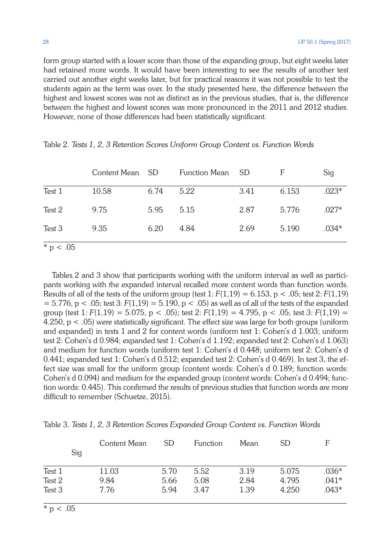form group started with a lower score than those of the expanding group, but eight weeks later had retained more words. It would have been interesting to see the results of another test carried out another eight weeks later, but for practical reasons it was not possible to test the students again as the term was over. In the study presented here, the difference between the highest and lowest scores was not as distinct as in the previous studies, that is, the difference between the highest and lowest scores was more pronounced in the 2011 and 2012 studies. However, none of those differences had been statistically significant.

|             | Content Mean SD |      | Function Mean SD |      | F     | Sig     |
|-------------|-----------------|------|------------------|------|-------|---------|
| Test 1      | 10.58           | 6.74 | 5.22             | 3.41 | 6.153 | $.023*$ |
| Test 2      | 9.75            | 5.95 | 5.15             | 2.87 | 5.776 | $.027*$ |
| Test 3      | 9.35            | 6.20 | 4.84             | 2.69 | 5.190 | $.034*$ |
| $* p < .05$ |                 |      |                  |      |       |         |

|  |  |  |  | Table 2. Tests 1, 2, 3 Retention Scores Uniform Group Content vs. Function Words |  |
|--|--|--|--|----------------------------------------------------------------------------------|--|
|  |  |  |  |                                                                                  |  |

Tables 2 and 3 show that participants working with the uniform interval as well as participants working with the expanded interval recalled more content words than function words. Results of all of the tests of the uniform group (test  $1: F(1,19) = 6.153$ ,  $p < .05$ ; test  $2: F(1,19)$  $= 5.776$ ,  $p < .05$ ; test 3:  $F(1,19) = 5.190$ ,  $p < .05$ ) as well as of all of the tests of the expanded group (test 1:  $F(1,19) = 5.075$ , p < .05); test 2:  $F(1,19) = 4.795$ , p < .05; test 3:  $F(1,19) =$ 4.250, p < .05) were statistically significant. The effect size was large for both groups (uniform and expanded) in tests 1 and 2 for content words (uniform test 1: Cohen's d 1.003; uniform test 2: Cohen's d 0.984; expanded test 1: Cohen's d 1.192; expanded test 2: Cohen's d 1.063) and medium for function words (uniform test 1: Cohen's d 0.448; uniform test 2: Cohen's d 0.441; expanded test 1: Cohen's d 0.512; expanded test 2: Cohen's d 0.469). In test 3, the effect size was small for the uniform group (content words: Cohen's d 0.189; function words: Cohen's d 0.094) and medium for the expanded group (content words: Cohen's d 0.494; function words: 0.445). This confirmed the results of previous studies that function words are more difficult to remember (Schuetze, 2015).

|        | $\mathrm{Sig}$ | Content Mean | SD.  | <b>Function</b> | Mean | SD    | F       |
|--------|----------------|--------------|------|-----------------|------|-------|---------|
| Test 1 |                | 11.03        | 5.70 | 5.52            | 3.19 | 5.075 | .036*   |
| Test 2 |                | 9.84         | 5.66 | 5.08            | 2.84 | 4.795 | $.041*$ |
| Test 3 |                | 7.76         | 5.94 | 3.47            | 1.39 | 4.250 | $.043*$ |

Table 3. *Tests 1, 2, 3 Retention Scores Expanded Group Content vs. Function Words*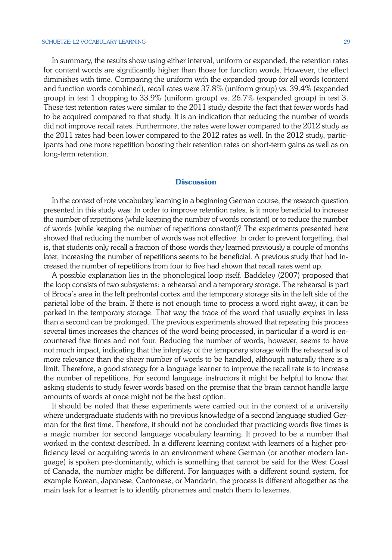#### SCHUETzE: L2 VOCABULARY LEARNING 29

In summary, the results show using either interval, uniform or expanded, the retention rates for content words are significantly higher than those for function words. However, the effect diminishes with time. Comparing the uniform with the expanded group for all words (content and function words combined), recall rates were 37.8% (uniform group) vs. 39.4% (expanded group) in test 1 dropping to 33.9% (uniform group) vs. 26.7% (expanded group) in test 3. These test retention rates were similar to the 2011 study despite the fact that fewer words had to be acquired compared to that study. It is an indication that reducing the number of words did not improve recall rates. Furthermore, the rates were lower compared to the 2012 study as the 2011 rates had been lower compared to the 2012 rates as well. In the 2012 study, participants had one more repetition boosting their retention rates on short-term gains as well as on long-term retention.

#### **Discussion**

In the context of rote vocabulary learning in a beginning German course, the research question presented in this study was: In order to improve retention rates, is it more beneficial to increase the number of repetitions (while keeping the number of words constant) or to reduce the number of words (while keeping the number of repetitions constant)? The experiments presented here showed that reducing the number of words was not effective. In order to prevent forgetting, that is, that students only recall a fraction of those words they learned previously a couple of months later, increasing the number of repetitions seems to be beneficial. A previous study that had increased the number of repetitions from four to five had shown that recall rates went up.

A possible explanation lies in the phonological loop itself. Baddeley (2007) proposed that the loop consists of two subsystems: a rehearsal and a temporary storage. The rehearsal is part of Broca's area in the left prefrontal cortex and the temporary storage sits in the left side of the parietal lobe of the brain. If there is not enough time to process a word right away, it can be parked in the temporary storage. That way the trace of the word that usually expires in less than a second can be prolonged. The previous experiments showed that repeating this process several times increases the chances of the word being processed, in particular if a word is encountered five times and not four. Reducing the number of words, however, seems to have not much impact, indicating that the interplay of the temporary storage with the rehearsal is of more relevance than the sheer number of words to be handled, although naturally there is a limit. Therefore, a good strategy for a language learner to improve the recall rate is to increase the number of repetitions. For second language instructors it might be helpful to know that asking students to study fewer words based on the premise that the brain cannot handle large amounts of words at once might not be the best option.

It should be noted that these experiments were carried out in the context of a university where undergraduate students with no previous knowledge of a second language studied German for the first time. Therefore, it should not be concluded that practicing words five times is a magic number for second language vocabulary learning. It proved to be a number that worked in the context described. In a different learning context with learners of a higher proficiency level or acquiring words in an environment where German (or another modern language) is spoken pre-dominantly, which is something that cannot be said for the West Coast of Canada, the number might be different. For languages with a different sound system, for example Korean, Japanese, Cantonese, or Mandarin, the process is different altogether as the main task for a learner is to identify phonemes and match them to lexemes.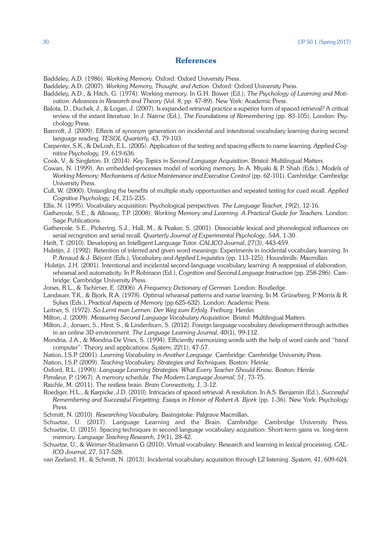#### **References**

Baddeley, A.D. (1986). *Working Memory*. Oxford: Oxford University Press.

- Baddeley, A.D. (2007). *Working Memory, Thought, and Action*. Oxford: Oxford University Press.
- Baddeley, A.D., & Hitch, G. (1974). Working memory. In G.H. Bower (Ed.), *The Psychology of Learning and Motivation: Advances in Research and Theory* (Vol. 8, pp. 47-89). New York: Academic Press.
- Balota, D., Duchek, J., & Logan, J. (2007). Is expanded retrieval practice a superior form of spaced retrieval? A critical review of the extant literature. In J. Nairne (Ed.), *The Foundations of Remembering* (pp. 83-105). London: Psychology Press.
- Barcroft, J. (2009). Effects of synonym generation on incidental and intentional vocabulary learning during second language reading. *TESOL Quarterly, 43*, 79-103.
- Carpenter, S.K., & DeLosh, E.L. (2005). Application of the testing and spacing effects to name learning. *Applied Cognitive Psychology, 19*, 619-636.

Cook, V., & Singleton, D. (2014). *Key Topics in Second Language Acquisition*. Bristol: Multilingual Matters.

- Cowan, N. (1999). An embedded-processes model of working memory. In A. Miyaki & P. Shah (Eds.), *Models of Working Memory: Mechanisms of Active Maintenance and Executive Control* (pp. 62-101). Cambridge: Cambridge University Press.
- Cull, W. (2000). Untangling the benefits of multiple study opportunities and repeated testing for cued recall. *Applied Cognitive Psychology, 14*, 215-235.
- Ellis, N. (1995). Vocabulary acquisition: Psychological perspectives. *The Language Teacher, 19*(2), 12-16.
- Gathercole, S.E., & Alloway, T.P. (2008). *Working Memory and Learning. A Practical Guide for Teachers.* London: Sage Publications.
- Gathercole, S.E., Pickering, S.J., Hall, M., & Peaker, S. (2001). Dissociable lexical and phonological influences on serial recognition and serial recall. *Quarterly Journal of Experimental Psychology*, *54A*, 1-30.
- Heift, T. (2010). Developing an Intelligent Language Tutor. *CALICO Journal*, *27*(3), 443-459.
- Hulstijn, J. (1992). Retention of inferred and given word meanings: Experiments in incidental vocabulary learning. In P. Arnaud & J. Béjoint (Eds.), *Vocabulary and Applied Linguistics* (pp. 113-125). Houndmills: Macmillan.
- Hulstijn, J.H. (2001). Intentional and incidental second-language vocabulary learning: A reappraisal of elaboration, rehearsal and automaticity. In P. Robinson (Ed.), *Cognition and Second Language Instruction* (pp. 258-286). Cambridge: Cambridge University Press.
- Jones, R.L., & Tschirner, E. (2006). *A Frequency Dictionary of German*. London: Routledge.
- Landauer, T.K., & Bjork, R.A. (1978). Optimal rehearsal patterns and name learning. In M. Grüneberg, P. Morris & R. Sykes (Eds.), *Practical Aspects of Memory* (pp.625-632). London: Academic Press.
- Leitner, S. (1972). *So Lernt man Lernen: Der Weg zum Erfolg*. Freiburg: Herder.
- Milton, J. (2009). *Measuring Second Language Vocabulary Acquisition*. Bristol: Multilingual Matters.
- Milton, J., Jonsen, S., Hirst, S., & Lindenburn, S. (2012). Foreign language vocabulary development through activities in an online 3D environment. *The Language Learning Journal*, *40*(1), 99-112.
- Mondria, J.A., & Mondria-De Vries, S. (1994). Efficiently memorizing words with the help of word cards and "hand computer": Theory and applications. *System, 22*(1), 47-57.
- Nation, I.S.P. (2001). *Learning Vocabulary in Another Language*. Cambridge: Cambridge University Press.
- Nation, I.S.P. (2009). *Teaching Vocabulary. Strategies and Techniques*. Boston: Heinle.
- Oxford, R.L. (1990). *Language Learning Strategies: What Every Teacher Should Know*. Boston: Heinle.
- Pimsleur, P. (1967). A memory schedule. *The Modern Language Journal, 51*, 73-75.
- Raichle, M. (2011). The restless brain. *Brain Connectivity, 1*, 3-12.
- Roediger, H.L., & Karpicke, J.D. (2010). Intricacies of spaced retrieval: A resolution. In A.S. Benjamin (Ed.), *Successful Remembering and Successful Forgetting: Essays in Honor of Robert A. Bjork* (pp. 1-36). New York: Psychology Press.
- Schmitt, N. (2010). *Researching Vocabulary.* Basingstoke: Palgrave Macmillan.
- Schuetze, U. (2017). Language Learning and the Brain. Cambridge: Cambridge University Press.
- Schuetze, U. (2015). Spacing techniques in second language vocabulary acquisition: Short-term gains vs. long-term memory. *Language Teaching Research, 19*(1), 28-42.
- Schuetze, U., & Weimer-Stuckmann G (2010). Virtual vocabulary: Research and learning in lexical processing. *CAL-ICO Journal, 27*, 517-528.
- van zeeland, H., & Schmitt, N. (2013). Incidental vocabulary acquisition through L2 listening. *System, 41*, 609-624.